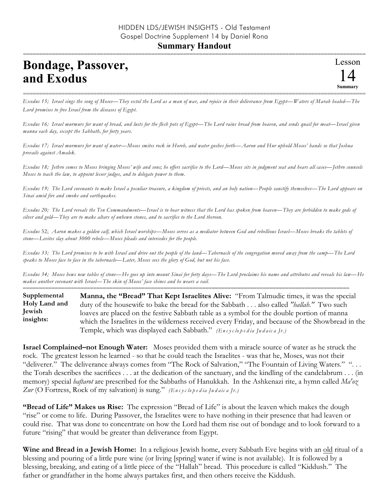## **Bondage, Passover, and Exodus**

=========================================================================================================== *Exodus 15; Israel sings the song of Moses—They extol the Lord as a man of war, and rejoice in their deliverance from Egypt—Waters of Marah healed—The Lord promises to free Israel from the diseases of Egypt.*

*Exodus 16; Israel murmurs for want of bread, and lusts for the flesh pots of Egypt—The Lord rains bread from heaven, and sends quail for meat—Israel given manna each day, except the Sabbath, for forty years.*

*Exodus 17; Israel murmurs for want of water—Moses smites rock in Horeb, and water gushes forth—Aaron and Hur uphold Moses' hands so that Joshua prevails against Amalek.*

*Exodus 18; Jethro comes to Moses bringing Moses' wife and sons; he offers sacrifice to the Lord—Moses sits in judgment seat and hears all cases—Jethro counsels Moses to teach the law, to appoint lesser judges, and to delegate power to them.*

*Exodus 19; The Lord covenants to make Israel a peculiar treasure, a kingdom of priests, and an holy nation—People sanctify themselves—The Lord appears on Sinai amid fire and smoke and earthquakes.*

*Exodus 20; The Lord reveals the Ten Commandments—Israel is to bear witness that the Lord has spoken from heaven—They are forbidden to make gods of silver and gold—They are to make altars of unhewn stones, and to sacrifice to the Lord thereon.*

*Exodus* 32; *Aaron makes a golden calf, which Israel worships—Moses serves as a mediator between God and rebellious Israel—Moses breaks the tablets of stone—Levites slay about 3000 rebels—Moses pleads and intercedes for the people.*

*Exodus 33; The Lord promises to be with Israel and drive out the people of the land—Tabernacle of the congregation moved away from the camp—The Lord speaks to Moses face to face in the tabernacle—Later, Moses sees the glory of God, but not his face.*

*Exodus 34; Moses hews new tables of stone—He goes up into mount Sinai for forty days—The Lord proclaims his name and attributes and reveals his law—He makes another covenant with Israel—The skin of Moses' face shines and he wears a vail.*

======================================================================================================

**Manna, the "Bread" That Kept Israelites Alive:** "From Talmudic times, it was the special duty of the housewife to bake the bread for the Sabbath . . . also called *"hallah."* Two such loaves are placed on the festive Sabbath table as a symbol for the double portion of manna which the Israelites in the wilderness received every Friday, and because of the Showbread in the Temple, which was displayed each Sabbath." *(En c y c lo p e d ia Ju d a ic a Jr.)* **Supplemental Holy Land and Jewish insights:**

**Israel Complained–not Enough Water:** Moses provided them with a miracle source of water as he struck the rock. The greatest lesson he learned - so that he could teach the Israelites - was that he, Moses, was not their "deliverer." The deliverance always comes from "The Rock of Salvation," "The Fountain of Living Waters." "... the Torah describes the sacrifices . . . at the dedication of the sanctuary, and the kindling of the candelabrum . . . (in memory) special *haftarot* are prescribed for the Sabbaths of Hanukkah. In the Ashkenazi rite, a hymn called *Ma'oz Zur* (O Fortress, Rock of my salvation) is sung." *(En c y c lo p e d ia Ju d a ic a Jr.)*

**"Bread of Life" Makes us Rise:** The expression "Bread of Life" is about the leaven which makes the dough "rise" or come to life. During Passover, the Israelites were to have nothing in their presence that had leaven or could rise. That was done to concentrate on how the Lord had them rise out of bondage and to look forward to a future "rising" that would be greater than deliverance from Egypt.

**Wine and Bread in a Jewish Home:** In a religious Jewish home, every Sabbath Eve begins with an old ritual of a blessing and pouring of a little pure wine (or living [spring] water if wine is not available). It is followed by a blessing, breaking, and eating of a little piece of the "Hallah" bread. This procedure is called "Kiddush." The father or grandfather in the home always partakes first, and then others receive the Kiddush.